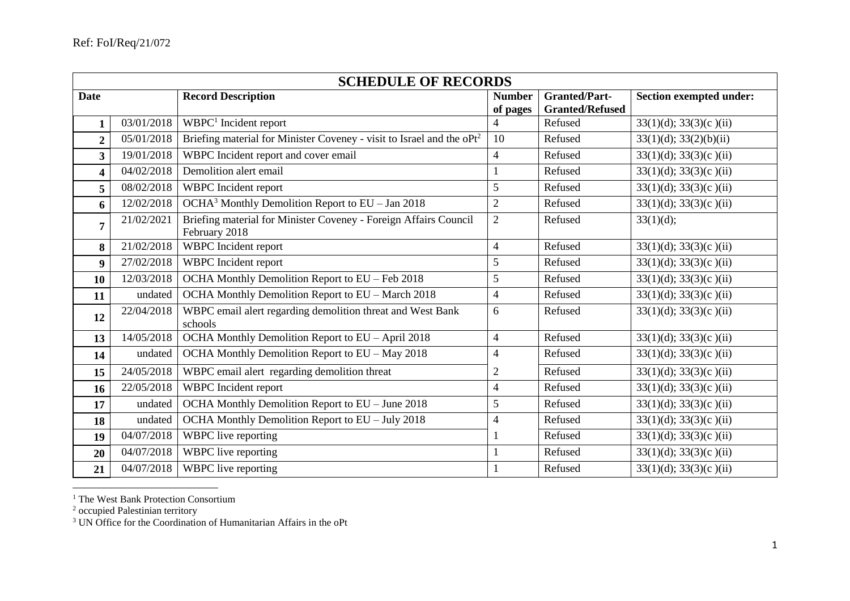|                         | <b>SCHEDULE OF RECORDS</b> |                                                                                   |                           |                                                |                                |  |  |
|-------------------------|----------------------------|-----------------------------------------------------------------------------------|---------------------------|------------------------------------------------|--------------------------------|--|--|
| <b>Date</b>             |                            | <b>Record Description</b>                                                         | <b>Number</b><br>of pages | <b>Granted/Part-</b><br><b>Granted/Refused</b> | <b>Section exempted under:</b> |  |  |
| 1                       | 03/01/2018                 | WBPC <sup>1</sup> Incident report                                                 | 4                         | Refused                                        | 33(1)(d); 33(3)(c)(ii)         |  |  |
| $\overline{2}$          | 05/01/2018                 | Briefing material for Minister Coveney - visit to Israel and the oPt <sup>2</sup> | 10                        | Refused                                        | 33(1)(d); 33(2)(b)(ii)         |  |  |
| $\overline{\mathbf{3}}$ | 19/01/2018                 | WBPC Incident report and cover email                                              | $\overline{4}$            | Refused                                        | $33(1)(d)$ ; $33(3)(c)$ (ii)   |  |  |
| $\overline{\mathbf{4}}$ | 04/02/2018                 | Demolition alert email                                                            |                           | Refused                                        | $33(1)(d)$ ; $33(3)(c)$ (ii)   |  |  |
| 5                       | 08/02/2018                 | WBPC Incident report                                                              | 5                         | Refused                                        | $33(1)(d)$ ; $33(3)(c)(ii)$    |  |  |
| 6                       | 12/02/2018                 | OCHA <sup>3</sup> Monthly Demolition Report to EU - Jan 2018                      | $\overline{2}$            | Refused                                        | $33(1)(d)$ ; $33(3)(c)(ii)$    |  |  |
| $\overline{7}$          | 21/02/2021                 | Briefing material for Minister Coveney - Foreign Affairs Council<br>February 2018 | $\overline{2}$            | Refused                                        | 33(1)(d);                      |  |  |
| 8                       | 21/02/2018                 | WBPC Incident report                                                              | $\overline{4}$            | Refused                                        | $33(1)(d)$ ; $33(3)(c)$ (ii)   |  |  |
| $\boldsymbol{9}$        | 27/02/2018                 | WBPC Incident report                                                              | 5                         | Refused                                        | $33(1)(d)$ ; $33(3)(c)(ii)$    |  |  |
| 10                      | 12/03/2018                 | OCHA Monthly Demolition Report to EU - Feb 2018                                   | 5                         | Refused                                        | $33(1)(d)$ ; $33(3)(c)$ (ii)   |  |  |
| 11                      | undated                    | OCHA Monthly Demolition Report to EU - March 2018                                 | $\overline{4}$            | Refused                                        | $33(1)(d)$ ; $33(3)(c)(ii)$    |  |  |
| 12                      | 22/04/2018                 | WBPC email alert regarding demolition threat and West Bank<br>schools             | 6                         | Refused                                        | $33(1)(d)$ ; $33(3)(c)(ii)$    |  |  |
| 13                      | 14/05/2018                 | OCHA Monthly Demolition Report to EU - April 2018                                 | $\overline{4}$            | Refused                                        | $33(1)(d)$ ; $33(3)(c)(ii)$    |  |  |
| 14                      | undated                    | OCHA Monthly Demolition Report to EU - May 2018                                   | $\overline{4}$            | Refused                                        | $33(1)(d)$ ; $33(3)(c)(ii)$    |  |  |
| 15                      | 24/05/2018                 | WBPC email alert regarding demolition threat                                      | $\mathfrak{2}$            | Refused                                        | $33(1)(d)$ ; $33(3)(c)(ii)$    |  |  |
| 16                      | 22/05/2018                 | WBPC Incident report                                                              | $\overline{4}$            | Refused                                        | $33(1)(d)$ ; $33(3)(c)(ii)$    |  |  |
| 17                      | undated                    | OCHA Monthly Demolition Report to EU - June 2018                                  | 5                         | Refused                                        | $33(1)(d)$ ; $33(3)(c)(ii)$    |  |  |
| 18                      | undated                    | OCHA Monthly Demolition Report to EU - July 2018                                  | $\overline{4}$            | Refused                                        | $33(1)(d)$ ; $33(3)(c)(ii)$    |  |  |
| 19                      | 04/07/2018                 | WBPC live reporting                                                               |                           | Refused                                        | $33(1)(d)$ ; $33(3)(c)(ii)$    |  |  |
| 20                      | 04/07/2018                 | WBPC live reporting                                                               |                           | Refused                                        | $33(1)(d)$ ; $33(3)(c)$ (ii)   |  |  |
| 21                      | 04/07/2018                 | WBPC live reporting                                                               |                           | Refused                                        | $33(1)(d)$ ; $33(3)(c)(ii)$    |  |  |

<sup>&</sup>lt;sup>1</sup> The West Bank Protection Consortium

<sup>2</sup> occupied Palestinian territory

 $\overline{a}$ 

<sup>3</sup> UN Office for the Coordination of Humanitarian Affairs in the oPt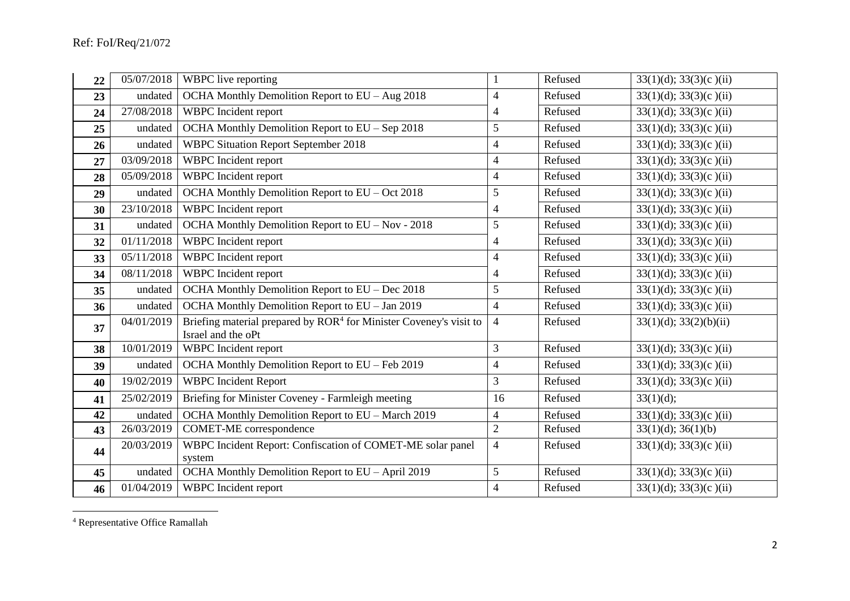| 22 | 05/07/2018 | WBPC live reporting                                                                                  |                | Refused | $33(1)(d)$ ; $33(3)(c)(ii)$  |
|----|------------|------------------------------------------------------------------------------------------------------|----------------|---------|------------------------------|
| 23 | undated    | OCHA Monthly Demolition Report to EU - Aug 2018                                                      | $\overline{4}$ | Refused | $33(1)(d)$ ; $33(3)(c)$ (ii) |
| 24 | 27/08/2018 | WBPC Incident report                                                                                 | $\overline{4}$ | Refused | $33(1)(d)$ ; $33(3)(c)$ (ii) |
| 25 | undated    | OCHA Monthly Demolition Report to EU - Sep 2018                                                      | 5              | Refused | $33(1)(d)$ ; $33(3)(c)$ (ii) |
| 26 | undated    | <b>WBPC Situation Report September 2018</b>                                                          | 4              | Refused | $33(1)(d)$ ; $33(3)(c)(ii)$  |
| 27 | 03/09/2018 | WBPC Incident report                                                                                 | 4              | Refused | $33(1)(d)$ ; $33(3)(c)(ii)$  |
| 28 | 05/09/2018 | WBPC Incident report                                                                                 | $\overline{4}$ | Refused | $33(1)(d)$ ; $33(3)(c)(ii)$  |
| 29 | undated    | OCHA Monthly Demolition Report to EU - Oct 2018                                                      | 5              | Refused | $33(1)(d)$ ; $33(3)(c)$ (ii) |
| 30 | 23/10/2018 | WBPC Incident report                                                                                 | $\overline{4}$ | Refused | $33(1)(d)$ ; $33(3)(c)(ii)$  |
| 31 | undated    | OCHA Monthly Demolition Report to EU - Nov - 2018                                                    | 5              | Refused | $33(1)(d)$ ; $33(3)(c)$ (ii) |
| 32 | 01/11/2018 | WBPC Incident report                                                                                 | $\overline{4}$ | Refused | $33(1)(d)$ ; $33(3)(c)(ii)$  |
| 33 | 05/11/2018 | WBPC Incident report                                                                                 | 4              | Refused | $33(1)(d)$ ; $33(3)(c)(ii)$  |
| 34 | 08/11/2018 | WBPC Incident report                                                                                 | 4              | Refused | $33(1)(d)$ ; $33(3)(c)$ (ii) |
| 35 | undated    | OCHA Monthly Demolition Report to EU - Dec 2018                                                      | 5              | Refused | $33(1)(d)$ ; $33(3)(c)(ii)$  |
| 36 | undated    | OCHA Monthly Demolition Report to EU - Jan 2019                                                      | 4              | Refused | $33(1)(d)$ ; $33(3)(c)$ (ii) |
| 37 | 04/01/2019 | Briefing material prepared by ROR <sup>4</sup> for Minister Coveney's visit to<br>Israel and the oPt | $\overline{4}$ | Refused | 33(1)(d); 33(2)(b)(ii)       |
| 38 | 10/01/2019 | WBPC Incident report                                                                                 | 3              | Refused | $33(1)(d)$ ; $33(3)(c)(ii)$  |
| 39 | undated    | OCHA Monthly Demolition Report to EU - Feb 2019                                                      | $\overline{4}$ | Refused | $33(1)(d)$ ; $33(3)(c)$ (ii) |
| 40 | 19/02/2019 | <b>WBPC</b> Incident Report                                                                          | 3              | Refused | $33(1)(d)$ ; $33(3)(c)$ (ii) |
| 41 | 25/02/2019 | Briefing for Minister Coveney - Farmleigh meeting                                                    | 16             | Refused | 33(1)(d);                    |
| 42 | undated    | OCHA Monthly Demolition Report to EU - March 2019                                                    | $\overline{4}$ | Refused | $33(1)(d)$ ; $33(3)(c)$ (ii) |
| 43 | 26/03/2019 | COMET-ME correspondence                                                                              | $\overline{2}$ | Refused | 33(1)(d); 36(1)(b)           |
| 44 | 20/03/2019 | WBPC Incident Report: Confiscation of COMET-ME solar panel<br>system                                 | 4              | Refused | $33(1)(d)$ ; $33(3)(c)$ (ii) |
| 45 | undated    | OCHA Monthly Demolition Report to EU - April 2019                                                    | 5              | Refused | $33(1)(d)$ ; $33(3)(c)(ii)$  |
| 46 | 01/04/2019 | WBPC Incident report                                                                                 | 4              | Refused | $33(1)(d)$ ; $33(3)(c)$ (ii) |

Representative Office Ramallah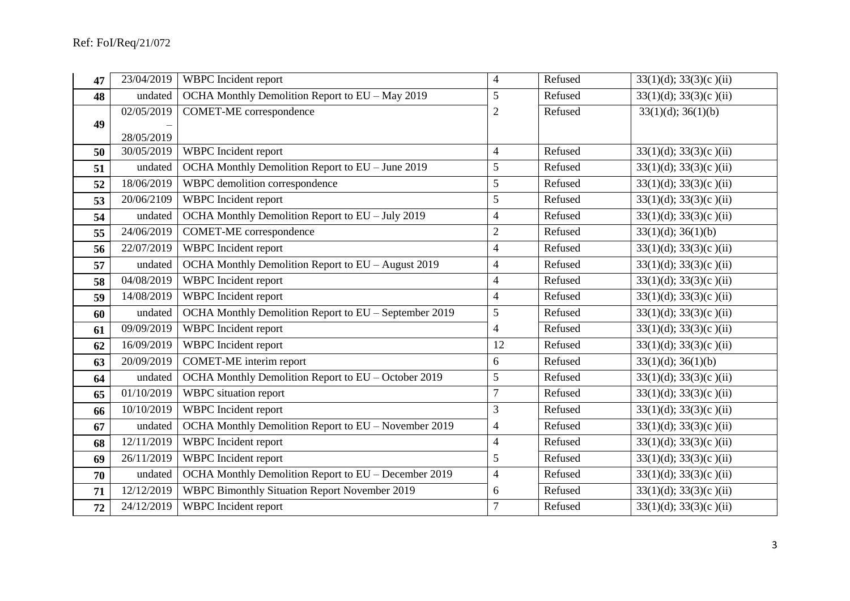| 47 | 23/04/2019 | WBPC Incident report                                  | $\overline{4}$ | Refused | $33(1)(d)$ ; $33(3)(c)(ii)$  |
|----|------------|-------------------------------------------------------|----------------|---------|------------------------------|
| 48 | undated    | OCHA Monthly Demolition Report to EU - May 2019       | 5              | Refused | $33(1)(d)$ ; $33(3)(c)(ii)$  |
|    | 02/05/2019 | <b>COMET-ME</b> correspondence                        | $\overline{2}$ | Refused | 33(1)(d); 36(1)(b)           |
| 49 | 28/05/2019 |                                                       |                |         |                              |
| 50 | 30/05/2019 | WBPC Incident report                                  | $\overline{4}$ | Refused | $33(1)(d)$ ; $33(3)(c)(ii)$  |
| 51 | undated    | OCHA Monthly Demolition Report to EU - June 2019      | 5              | Refused | $33(1)(d)$ ; $33(3)(c)$ (ii) |
| 52 | 18/06/2019 | WBPC demolition correspondence                        | 5              | Refused | $33(1)(d)$ ; $33(3)(c)$ (ii) |
| 53 | 20/06/2109 | WBPC Incident report                                  | 5              | Refused | $33(1)(d)$ ; $33(3)(c)(ii)$  |
| 54 | undated    | OCHA Monthly Demolition Report to EU - July 2019      | 4              | Refused | $33(1)(d)$ ; $33(3)(c)$ (ii) |
| 55 | 24/06/2019 | <b>COMET-ME</b> correspondence                        | $\mathfrak{2}$ | Refused | 33(1)(d); 36(1)(b)           |
| 56 | 22/07/2019 | WBPC Incident report                                  | $\overline{4}$ | Refused | $33(1)(d)$ ; $33(3)(c)(ii)$  |
| 57 | undated    | OCHA Monthly Demolition Report to EU - August 2019    | $\overline{4}$ | Refused | $33(1)(d)$ ; $33(3)(c)(ii)$  |
| 58 | 04/08/2019 | WBPC Incident report                                  | $\overline{4}$ | Refused | $33(1)(d)$ ; $33(3)(c)$ (ii) |
| 59 | 14/08/2019 | WBPC Incident report                                  | $\overline{4}$ | Refused | $33(1)(d)$ ; $33(3)(c)(ii)$  |
| 60 | undated    | OCHA Monthly Demolition Report to EU - September 2019 | 5              | Refused | $33(1)(d)$ ; $33(3)(c)(ii)$  |
| 61 | 09/09/2019 | WBPC Incident report                                  | $\overline{4}$ | Refused | $33(1)(d)$ ; $33(3)(c)$ (ii) |
| 62 | 16/09/2019 | WBPC Incident report                                  | 12             | Refused | $33(1)(d)$ ; $33(3)(c)$ (ii) |
| 63 | 20/09/2019 | <b>COMET-ME</b> interim report                        | 6              | Refused | $33(1)(d)$ ; $36(1)(b)$      |
| 64 | undated    | OCHA Monthly Demolition Report to EU - October 2019   | 5              | Refused | $33(1)(d)$ ; $33(3)(c)(ii)$  |
| 65 | 01/10/2019 | WBPC situation report                                 | $\tau$         | Refused | $33(1)(d)$ ; $33(3)(c)$ (ii) |
| 66 | 10/10/2019 | WBPC Incident report                                  | 3              | Refused | $33(1)(d)$ ; $33(3)(c)$ (ii) |
| 67 | undated    | OCHA Monthly Demolition Report to EU - November 2019  | $\overline{4}$ | Refused | $33(1)(d)$ ; $33(3)(c)$ (ii) |
| 68 | 12/11/2019 | WBPC Incident report                                  | $\overline{4}$ | Refused | $33(1)(d)$ ; $33(3)(c)$ (ii) |
| 69 | 26/11/2019 | WBPC Incident report                                  | 5              | Refused | $33(1)(d)$ ; $33(3)(c)$ (ii) |
| 70 | undated    | OCHA Monthly Demolition Report to EU - December 2019  | $\overline{4}$ | Refused | $33(1)(d)$ ; $33(3)(c)(ii)$  |
| 71 | 12/12/2019 | <b>WBPC</b> Bimonthly Situation Report November 2019  | 6              | Refused | $33(1)(d)$ ; $33(3)(c)(ii)$  |
| 72 | 24/12/2019 | WBPC Incident report                                  | 7              | Refused | $33(1)(d)$ ; $33(3)(c)(ii)$  |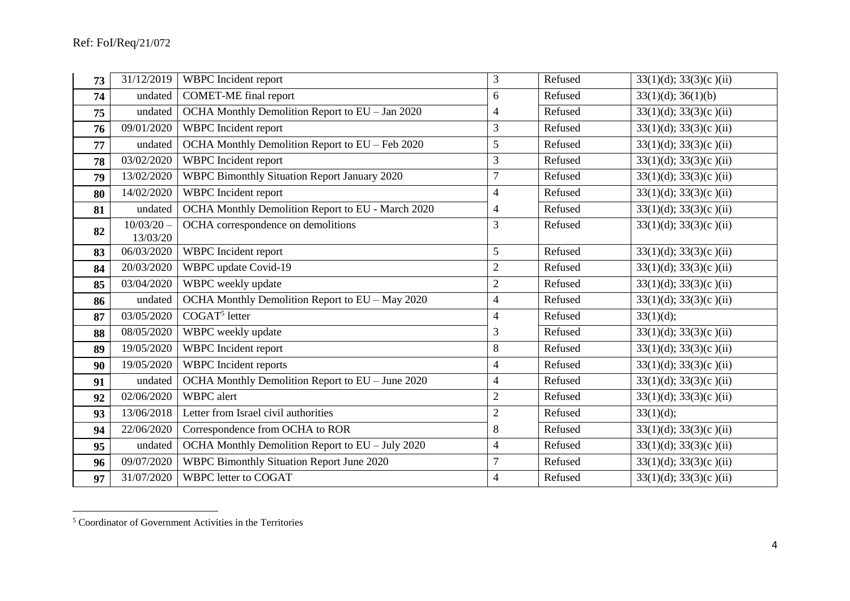| 73 | 31/12/2019               | <b>WBPC</b> Incident report                         | 3              | Refused | $33(1)(d)$ ; $33(3)(c)$ (ii) |
|----|--------------------------|-----------------------------------------------------|----------------|---------|------------------------------|
| 74 | undated                  | <b>COMET-ME</b> final report                        | 6              | Refused | $33(1)(d)$ ; $36(1)(b)$      |
| 75 | undated                  | OCHA Monthly Demolition Report to EU - Jan 2020     | 4              | Refused | $33(1)(d)$ ; $33(3)(c)$ (ii) |
| 76 | 09/01/2020               | WBPC Incident report                                | 3              | Refused | $33(1)(d)$ ; $33(3)(c)(ii)$  |
| 77 | undated                  | OCHA Monthly Demolition Report to EU - Feb 2020     | 5              | Refused | $33(1)(d)$ ; $33(3)(c)(ii)$  |
| 78 | 03/02/2020               | WBPC Incident report                                | 3              | Refused | $33(1)(d)$ ; $33(3)(c)$ (ii) |
| 79 | 13/02/2020               | <b>WBPC Bimonthly Situation Report January 2020</b> | $\overline{7}$ | Refused | $33(1)(d)$ ; $33(3)(c)(ii)$  |
| 80 | 14/02/2020               | WBPC Incident report                                | $\overline{4}$ | Refused | $33(1)(d)$ ; $33(3)(c)(ii)$  |
| 81 | undated                  | OCHA Monthly Demolition Report to EU - March 2020   | 4              | Refused | $33(1)(d)$ ; $33(3)(c)(ii)$  |
| 82 | $10/03/20 -$<br>13/03/20 | OCHA correspondence on demolitions                  | 3              | Refused | $33(1)(d)$ ; $33(3)(c)$ (ii) |
| 83 | 06/03/2020               | WBPC Incident report                                | 5              | Refused | $33(1)(d)$ ; $33(3)(c)$ (ii) |
| 84 | 20/03/2020               | WBPC update Covid-19                                | $\sqrt{2}$     | Refused | $33(1)(d)$ ; $33(3)(c)$ (ii) |
| 85 | 03/04/2020               | WBPC weekly update                                  | $\overline{2}$ | Refused | $33(1)(d)$ ; $33(3)(c)(ii)$  |
| 86 | undated                  | OCHA Monthly Demolition Report to EU - May 2020     | $\overline{4}$ | Refused | $33(1)(d)$ ; $33(3)(c)$ (ii) |
| 87 | 03/05/2020               | COGAT <sup>5</sup> letter                           | $\overline{4}$ | Refused | 33(1)(d);                    |
| 88 | 08/05/2020               | WBPC weekly update                                  | 3              | Refused | $33(1)(d)$ ; $33(3)(c)$ (ii) |
| 89 | 19/05/2020               | WBPC Incident report                                | 8              | Refused | $33(1)(d)$ ; $33(3)(c)(ii)$  |
| 90 | 19/05/2020               | <b>WBPC</b> Incident reports                        | $\overline{4}$ | Refused | $33(1)(d)$ ; $33(3)(c)(ii)$  |
| 91 | undated                  | OCHA Monthly Demolition Report to EU - June 2020    | $\overline{4}$ | Refused | $33(1)(d)$ ; $33(3)(c)(ii)$  |
| 92 | 02/06/2020               | <b>WBPC</b> alert                                   | $\overline{2}$ | Refused | $33(1)(d)$ ; $33(3)(c)(ii)$  |
| 93 | 13/06/2018               | Letter from Israel civil authorities                | $\overline{2}$ | Refused | 33(1)(d);                    |
| 94 | 22/06/2020               | Correspondence from OCHA to ROR                     | 8              | Refused | $33(1)(d)$ ; $33(3)(c)$ (ii) |
| 95 | undated                  | OCHA Monthly Demolition Report to EU - July 2020    | 4              | Refused | $33(1)(d)$ ; $33(3)(c)(ii)$  |
| 96 | 09/07/2020               | <b>WBPC Bimonthly Situation Report June 2020</b>    | $\overline{7}$ | Refused | $33(1)(d)$ ; $33(3)(c)(ii)$  |
| 97 | 31/07/2020               | <b>WBPC</b> letter to COGAT                         | 4              | Refused | $33(1)(d)$ ; $33(3)(c)$ (ii) |

Coordinator of Government Activities in the Territories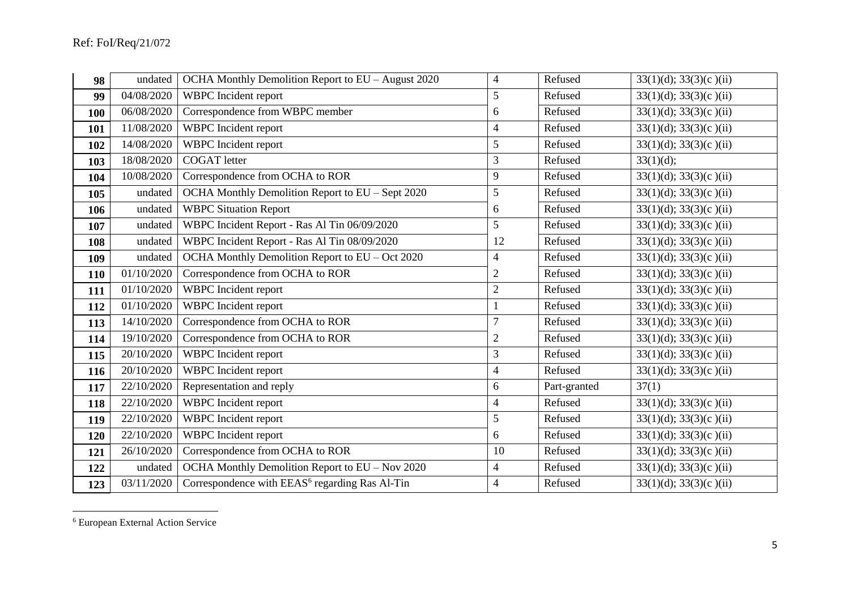| 98  | undated    | OCHA Monthly Demolition Report to EU - August 2020         | 4              | Refused      | $33(1)(d)$ ; $33(3)(c)(ii)$  |
|-----|------------|------------------------------------------------------------|----------------|--------------|------------------------------|
| 99  | 04/08/2020 | WBPC Incident report                                       | 5              | Refused      | $33(1)(d)$ ; $33(3)(c)(ii)$  |
| 100 | 06/08/2020 | Correspondence from WBPC member                            | 6              | Refused      | $33(1)(d)$ ; $33(3)(c)(ii)$  |
| 101 | 11/08/2020 | WBPC Incident report                                       | $\overline{4}$ | Refused      | $33(1)(d)$ ; $33(3)(c)(ii)$  |
| 102 | 14/08/2020 | WBPC Incident report                                       | 5              | Refused      | $33(1)(d)$ ; $33(3)(c)(ii)$  |
| 103 | 18/08/2020 | <b>COGAT</b> letter                                        | 3              | Refused      | 33(1)(d);                    |
| 104 | 10/08/2020 | Correspondence from OCHA to ROR                            | 9              | Refused      | 33(1)(d); 33(3)(c)(ii)       |
| 105 | undated    | OCHA Monthly Demolition Report to EU - Sept 2020           | 5              | Refused      | $33(1)(d)$ ; $33(3)(c)(ii)$  |
| 106 | undated    | <b>WBPC Situation Report</b>                               | 6              | Refused      | $33(1)(d)$ ; $33(3)(c)$ (ii) |
| 107 | undated    | WBPC Incident Report - Ras Al Tin 06/09/2020               | 5              | Refused      | $33(1)(d)$ ; $33(3)(c)(ii)$  |
| 108 | undated    | WBPC Incident Report - Ras Al Tin 08/09/2020               | 12             | Refused      | $33(1)(d)$ ; $33(3)(c)(ii)$  |
| 109 | undated    | OCHA Monthly Demolition Report to EU - Oct 2020            | 4              | Refused      | $33(1)(d)$ ; $33(3)(c)(ii)$  |
| 110 | 01/10/2020 | Correspondence from OCHA to ROR                            | $\overline{2}$ | Refused      | $33(1)(d)$ ; $33(3)(c)(ii)$  |
| 111 | 01/10/2020 | WBPC Incident report                                       | $\overline{2}$ | Refused      | $33(1)(d)$ ; $33(3)(c)(ii)$  |
| 112 | 01/10/2020 | WBPC Incident report                                       |                | Refused      | $33(1)(d)$ ; $33(3)(c)(ii)$  |
| 113 | 14/10/2020 | Correspondence from OCHA to ROR                            | 7              | Refused      | $33(1)(d)$ ; $33(3)(c)(ii)$  |
| 114 | 19/10/2020 | Correspondence from OCHA to ROR                            | $\overline{2}$ | Refused      | $33(1)(d)$ ; $33(3)(c)(ii)$  |
| 115 | 20/10/2020 | WBPC Incident report                                       | 3              | Refused      | $33(1)(d)$ ; $33(3)(c)(ii)$  |
| 116 | 20/10/2020 | <b>WBPC</b> Incident report                                | $\overline{4}$ | Refused      | $33(1)(d)$ ; $33(3)(c)$ (ii) |
| 117 | 22/10/2020 | Representation and reply                                   | 6              | Part-granted | 37(1)                        |
| 118 | 22/10/2020 | WBPC Incident report                                       | $\overline{4}$ | Refused      | $33(1)(d)$ ; $33(3)(c)(ii)$  |
| 119 | 22/10/2020 | WBPC Incident report                                       | 5              | Refused      | $33(1)(d)$ ; $33(3)(c)(ii)$  |
| 120 | 22/10/2020 | WBPC Incident report                                       | 6              | Refused      | $33(1)(d)$ ; $33(3)(c)(ii)$  |
| 121 | 26/10/2020 | Correspondence from OCHA to ROR                            | 10             | Refused      | $33(1)(d)$ ; $33(3)(c)$ (ii) |
| 122 | undated    | OCHA Monthly Demolition Report to EU - Nov 2020            | $\overline{4}$ | Refused      | $33(1)(d)$ ; $33(3)(c)(ii)$  |
| 123 | 03/11/2020 | Correspondence with EEAS <sup>6</sup> regarding Ras Al-Tin | 4              | Refused      | $33(1)(d)$ ; $33(3)(c)$ (ii) |

European External Action Service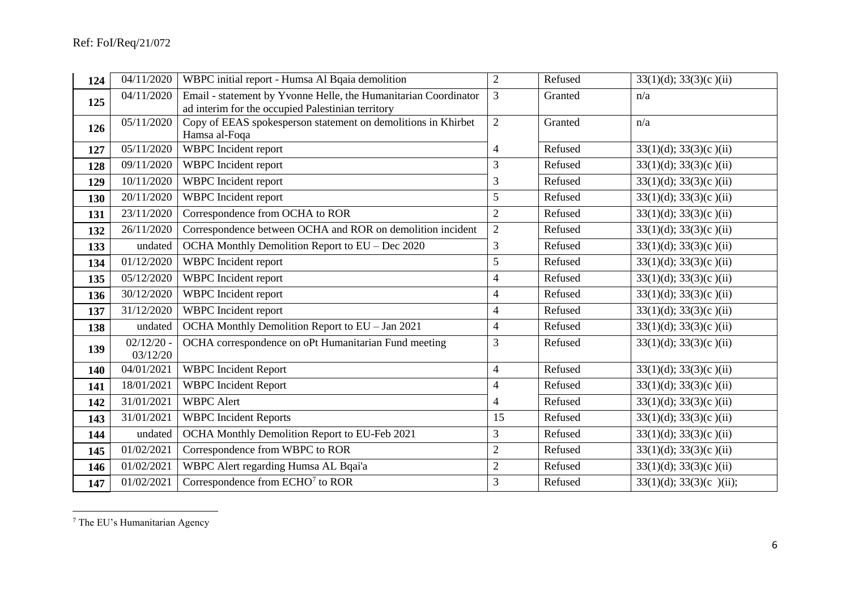| 124 | 04/11/2020               | WBPC initial report - Humsa Al Bqaia demolition                                                                      | $\overline{2}$  | Refused | $33(1)(d)$ ; $33(3)(c)(ii)$   |
|-----|--------------------------|----------------------------------------------------------------------------------------------------------------------|-----------------|---------|-------------------------------|
| 125 | 04/11/2020               | Email - statement by Yvonne Helle, the Humanitarian Coordinator<br>ad interim for the occupied Palestinian territory | 3               | Granted | n/a                           |
| 126 | 05/11/2020               | Copy of EEAS spokesperson statement on demolitions in Khirbet<br>Hamsa al-Foqa                                       | $\overline{2}$  | Granted | n/a                           |
| 127 | 05/11/2020               | WBPC Incident report                                                                                                 | $\overline{4}$  | Refused | $33(1)(d)$ ; $33(3)(c)(ii)$   |
| 128 | 09/11/2020               | WBPC Incident report                                                                                                 | 3               | Refused | $33(1)(d)$ ; $33(3)(c)(ii)$   |
| 129 | 10/11/2020               | WBPC Incident report                                                                                                 | 3               | Refused | $33(1)(d)$ ; $33(3)(c)(ii)$   |
| 130 | 20/11/2020               | WBPC Incident report                                                                                                 | 5               | Refused | $33(1)(d)$ ; $33(3)(c)$ (ii)  |
| 131 | 23/11/2020               | Correspondence from OCHA to ROR                                                                                      | $\overline{2}$  | Refused | $33(1)(d)$ ; $33(3)(c)(ii)$   |
| 132 | 26/11/2020               | Correspondence between OCHA and ROR on demolition incident                                                           | $\overline{2}$  | Refused | $33(1)(d)$ ; $33(3)(c)$ (ii)  |
| 133 | undated                  | OCHA Monthly Demolition Report to EU - Dec 2020                                                                      | 3               | Refused | $33(1)(d)$ ; $33(3)(c)$ (ii)  |
| 134 | 01/12/2020               | WBPC Incident report                                                                                                 | $5\overline{)}$ | Refused | $33(1)(d)$ ; $33(3)(c)(ii)$   |
| 135 | 05/12/2020               | <b>WBPC</b> Incident report                                                                                          | 4               | Refused | $33(1)(d)$ ; $33(3)(c)(ii)$   |
| 136 | 30/12/2020               | WBPC Incident report                                                                                                 | 4               | Refused | $33(1)(d)$ ; $33(3)(c)(ii)$   |
| 137 | 31/12/2020               | WBPC Incident report                                                                                                 | 4               | Refused | $33(1)(d)$ ; $33(3)(c)(ii)$   |
| 138 | undated                  | OCHA Monthly Demolition Report to EU - Jan 2021                                                                      | 4               | Refused | $33(1)(d)$ ; $33(3)(c)(ii)$   |
| 139 | $02/12/20$ -<br>03/12/20 | OCHA correspondence on oPt Humanitarian Fund meeting                                                                 | 3               | Refused | $33(1)(d)$ ; $33(3)(c)$ (ii)  |
| 140 | 04/01/2021               | <b>WBPC</b> Incident Report                                                                                          | $\overline{4}$  | Refused | $33(1)(d)$ ; $33(3)(c)(ii)$   |
| 141 | 18/01/2021               | <b>WBPC</b> Incident Report                                                                                          | $\overline{4}$  | Refused | $33(1)(d)$ ; $33(3)(c)(ii)$   |
| 142 | 31/01/2021               | <b>WBPC</b> Alert                                                                                                    | 4               | Refused | $33(1)(d)$ ; $33(3)(c)(ii)$   |
| 143 | 31/01/2021               | <b>WBPC</b> Incident Reports                                                                                         | 15              | Refused | $33(1)(d)$ ; $33(3)(c)(ii)$   |
| 144 | undated                  | OCHA Monthly Demolition Report to EU-Feb 2021                                                                        | 3               | Refused | $33(1)(d)$ ; $33(3)(c)$ (ii)  |
| 145 | 01/02/2021               | Correspondence from WBPC to ROR                                                                                      | $\overline{2}$  | Refused | $33(1)(d)$ ; $33(3)(c)(ii)$   |
| 146 | 01/02/2021               | WBPC Alert regarding Humsa AL Bqai'a                                                                                 | $\overline{2}$  | Refused | $33(1)(d)$ ; $33(3)(c)(ii)$   |
| 147 | 01/02/2021               | Correspondence from ECHO <sup>7</sup> to ROR                                                                         | 3               | Refused | $33(1)(d)$ ; $33(3)(c)$ (ii); |

<sup>&</sup>lt;sup>7</sup> The EU's Humanitarian Agency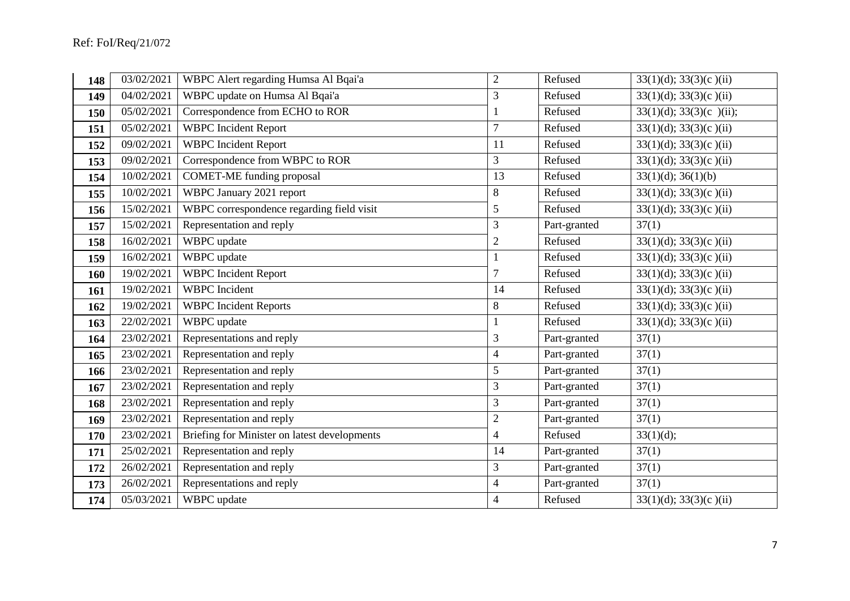| 148 | 03/02/2021 | WBPC Alert regarding Humsa Al Bqai'a         | $\overline{2}$ | Refused      | $33(1)(d)$ ; $33(3)(c)(ii)$  |
|-----|------------|----------------------------------------------|----------------|--------------|------------------------------|
| 149 | 04/02/2021 | WBPC update on Humsa Al Bqai'a               | 3              | Refused      | $33(1)(d)$ ; $33(3)(c)$ (ii) |
| 150 | 05/02/2021 | Correspondence from ECHO to ROR              |                | Refused      | $33(1)(d); 33(3)(c)$ (ii);   |
| 151 | 05/02/2021 | <b>WBPC</b> Incident Report                  | $\overline{7}$ | Refused      | $33(1)(d)$ ; $33(3)(c)(ii)$  |
| 152 | 09/02/2021 | <b>WBPC</b> Incident Report                  | 11             | Refused      | $33(1)(d)$ ; $33(3)(c)(ii)$  |
| 153 | 09/02/2021 | Correspondence from WBPC to ROR              | 3              | Refused      | $33(1)(d)$ ; $33(3)(c)(ii)$  |
| 154 | 10/02/2021 | <b>COMET-ME</b> funding proposal             | 13             | Refused      | 33(1)(d); 36(1)(b)           |
| 155 | 10/02/2021 | WBPC January 2021 report                     | 8              | Refused      | $33(1)(d)$ ; $33(3)(c)$ (ii) |
| 156 | 15/02/2021 | WBPC correspondence regarding field visit    | 5              | Refused      | $33(1)(d)$ ; $33(3)(c)(ii)$  |
| 157 | 15/02/2021 | Representation and reply                     | 3              | Part-granted | 37(1)                        |
| 158 | 16/02/2021 | WBPC update                                  | $\sqrt{2}$     | Refused      | $33(1)(d)$ ; $33(3)(c)(ii)$  |
| 159 | 16/02/2021 | WBPC update                                  |                | Refused      | $33(1)(d)$ ; $33(3)(c)(ii)$  |
| 160 | 19/02/2021 | <b>WBPC</b> Incident Report                  | $\overline{7}$ | Refused      | $33(1)(d)$ ; $33(3)(c)(ii)$  |
| 161 | 19/02/2021 | <b>WBPC</b> Incident                         | 14             | Refused      | $33(1)(d)$ ; $33(3)(c)(ii)$  |
| 162 | 19/02/2021 | <b>WBPC</b> Incident Reports                 | $8\,$          | Refused      | $33(1)(d)$ ; $33(3)(c)(ii)$  |
| 163 | 22/02/2021 | WBPC update                                  |                | Refused      | $33(1)(d)$ ; $33(3)(c)(ii)$  |
| 164 | 23/02/2021 | Representations and reply                    | 3              | Part-granted | 37(1)                        |
| 165 | 23/02/2021 | Representation and reply                     | 4              | Part-granted | 37(1)                        |
| 166 | 23/02/2021 | Representation and reply                     | 5              | Part-granted | 37(1)                        |
| 167 | 23/02/2021 | Representation and reply                     | 3              | Part-granted | 37(1)                        |
| 168 | 23/02/2021 | Representation and reply                     | 3              | Part-granted | 37(1)                        |
| 169 | 23/02/2021 | Representation and reply                     | $\overline{2}$ | Part-granted | 37(1)                        |
| 170 | 23/02/2021 | Briefing for Minister on latest developments | $\overline{4}$ | Refused      | 33(1)(d);                    |
| 171 | 25/02/2021 | Representation and reply                     | 14             | Part-granted | 37(1)                        |
| 172 | 26/02/2021 | Representation and reply                     | 3              | Part-granted | 37(1)                        |
| 173 | 26/02/2021 | Representations and reply                    | $\overline{4}$ | Part-granted | 37(1)                        |
| 174 | 05/03/2021 | WBPC update                                  | $\overline{4}$ | Refused      | $33(1)(d)$ ; $33(3)(c)$ (ii) |